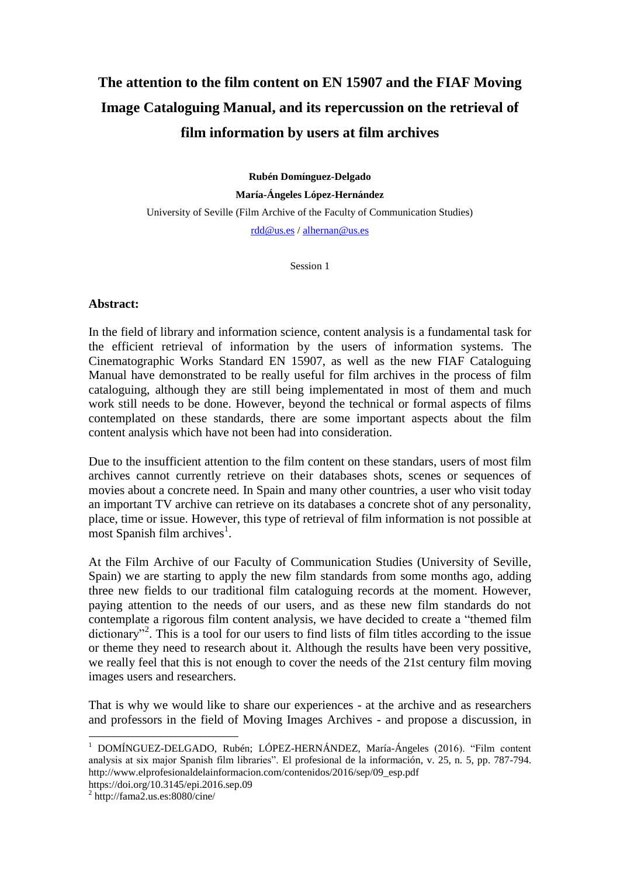## **The attention to the film content on EN 15907 and the FIAF Moving Image Cataloguing Manual, and its repercussion on the retrieval of film information by users at film archives**

**Rubén Domínguez-Delgado María-Ángeles López-Hernández**

University of Seville (Film Archive of the Faculty of Communication Studies) [rdd@us.es](mailto:rdd@us.es) / [alhernan@us.es](mailto:alhernan@us.es)

Session 1

## **Abstract:**

In the field of library and information science, content analysis is a fundamental task for the efficient retrieval of information by the users of information systems. The Cinematographic Works Standard EN 15907, as well as the new FIAF Cataloguing Manual have demonstrated to be really useful for film archives in the process of film cataloguing, although they are still being implementated in most of them and much work still needs to be done. However, beyond the technical or formal aspects of films contemplated on these standards, there are some important aspects about the film content analysis which have not been had into consideration.

Due to the insufficient attention to the film content on these standars, users of most film archives cannot currently retrieve on their databases shots, scenes or sequences of movies about a concrete need. In Spain and many other countries, a user who visit today an important TV archive can retrieve on its databases a concrete shot of any personality, place, time or issue. However, this type of retrieval of film information is not possible at  $\frac{1}{2}$  most Spanish film archives<sup>1</sup>.

At the Film Archive of our Faculty of Communication Studies (University of Seville, Spain) we are starting to apply the new film standards from some months ago, adding three new fields to our traditional film cataloguing records at the moment. However, paying attention to the needs of our users, and as these new film standards do not contemplate a rigorous film content analysis, we have decided to create a "themed film dictionary"<sup>2</sup>. This is a tool for our users to find lists of film titles according to the issue or theme they need to research about it. Although the results have been very possitive, we really feel that this is not enough to cover the needs of the 21st century film moving images users and researchers.

That is why we would like to share our experiences - at the archive and as researchers and professors in the field of Moving Images Archives - and propose a discussion, in

https://doi.org/10.3145/epi.2016.sep.09

<sup>&</sup>lt;u>.</u> <sup>1</sup> DOMÍNGUEZ-DELGADO, Rubén; LÓPEZ-HERNÁNDEZ, María-Ángeles (2016). "Film content analysis at six major Spanish film libraries". El profesional de la información, v. 25, n. 5, pp. 787-794. http://www.elprofesionaldelainformacion.com/contenidos/2016/sep/09\_esp.pdf

 $2 \text{ http://fama2.us.es:8080/cine/}$